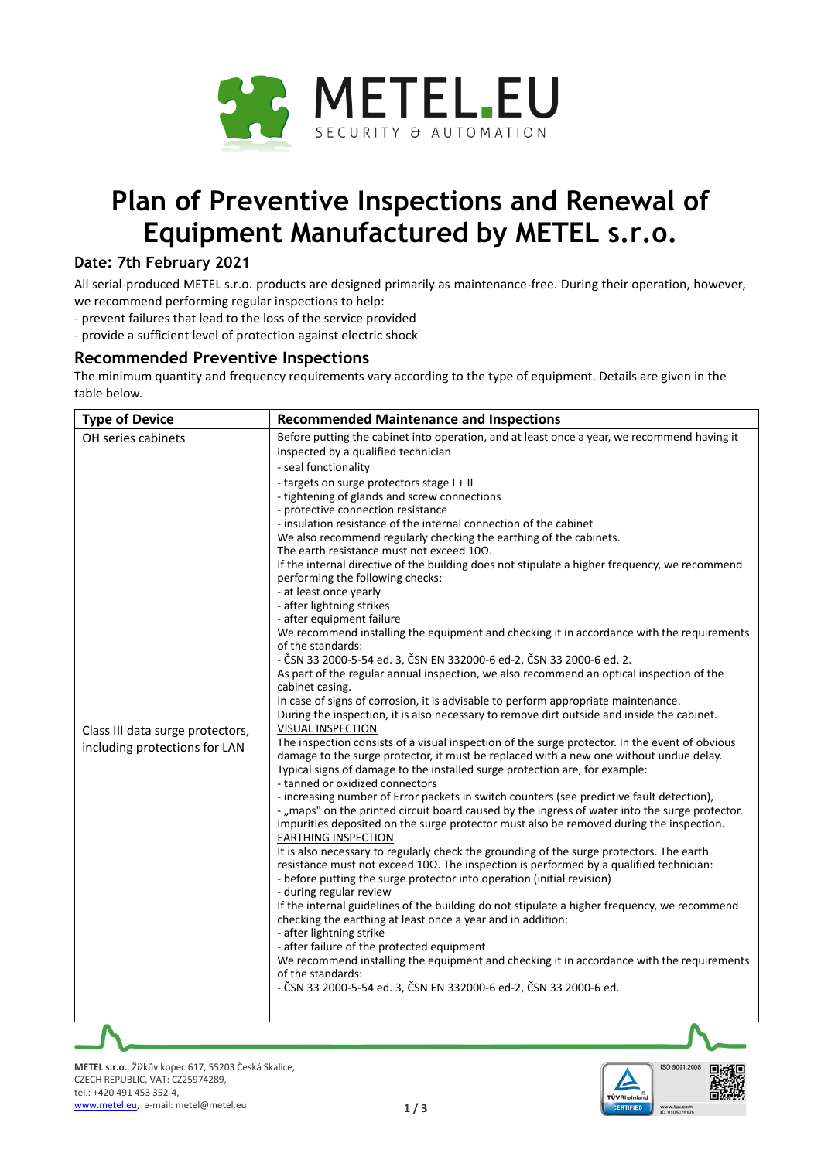

# **Plan of Preventive Inspections and Renewal of Equipment Manufactured by METEL s.r.o.**

## **Date: 7th February 2021**

All serial-produced METEL s.r.o. products are designed primarily as maintenance-free. During their operation, however, we recommend performing regular inspections to help:

- prevent failures that lead to the loss of the service provided

- provide a sufficient level of protection against electric shock

### **Recommended Preventive Inspections**

The minimum quantity and frequency requirements vary according to the type of equipment. Details are given in the table below.

| <b>Type of Device</b>            | <b>Recommended Maintenance and Inspections</b>                                                                                                                                            |
|----------------------------------|-------------------------------------------------------------------------------------------------------------------------------------------------------------------------------------------|
| OH series cabinets               | Before putting the cabinet into operation, and at least once a year, we recommend having it<br>inspected by a qualified technician                                                        |
|                                  | - seal functionality                                                                                                                                                                      |
|                                  | - targets on surge protectors stage I + II                                                                                                                                                |
|                                  | - tightening of glands and screw connections<br>- protective connection resistance                                                                                                        |
|                                  | - insulation resistance of the internal connection of the cabinet                                                                                                                         |
|                                  | We also recommend regularly checking the earthing of the cabinets.                                                                                                                        |
|                                  | The earth resistance must not exceed $10\Omega$ .                                                                                                                                         |
|                                  | If the internal directive of the building does not stipulate a higher frequency, we recommend                                                                                             |
|                                  | performing the following checks:                                                                                                                                                          |
|                                  | - at least once yearly                                                                                                                                                                    |
|                                  | - after lightning strikes                                                                                                                                                                 |
|                                  | - after equipment failure                                                                                                                                                                 |
|                                  | We recommend installing the equipment and checking it in accordance with the requirements                                                                                                 |
|                                  | of the standards:                                                                                                                                                                         |
|                                  | - ČSN 33 2000-5-54 ed. 3, ČSN EN 332000-6 ed-2, ČSN 33 2000-6 ed. 2.<br>As part of the regular annual inspection, we also recommend an optical inspection of the                          |
|                                  | cabinet casing.                                                                                                                                                                           |
|                                  | In case of signs of corrosion, it is advisable to perform appropriate maintenance.                                                                                                        |
|                                  | During the inspection, it is also necessary to remove dirt outside and inside the cabinet.                                                                                                |
| Class III data surge protectors, | <b>VISUAL INSPECTION</b>                                                                                                                                                                  |
| including protections for LAN    | The inspection consists of a visual inspection of the surge protector. In the event of obvious                                                                                            |
|                                  | damage to the surge protector, it must be replaced with a new one without undue delay.                                                                                                    |
|                                  | Typical signs of damage to the installed surge protection are, for example:                                                                                                               |
|                                  | - tanned or oxidized connectors                                                                                                                                                           |
|                                  | - increasing number of Error packets in switch counters (see predictive fault detection),                                                                                                 |
|                                  | - "maps" on the printed circuit board caused by the ingress of water into the surge protector.<br>Impurities deposited on the surge protector must also be removed during the inspection. |
|                                  | <b>EARTHING INSPECTION</b>                                                                                                                                                                |
|                                  | It is also necessary to regularly check the grounding of the surge protectors. The earth                                                                                                  |
|                                  | resistance must not exceed $10\Omega$ . The inspection is performed by a qualified technician:                                                                                            |
|                                  | - before putting the surge protector into operation (initial revision)                                                                                                                    |
|                                  | - during regular review                                                                                                                                                                   |
|                                  | If the internal guidelines of the building do not stipulate a higher frequency, we recommend                                                                                              |
|                                  | checking the earthing at least once a year and in addition:                                                                                                                               |
|                                  | - after lightning strike                                                                                                                                                                  |
|                                  | - after failure of the protected equipment<br>We recommend installing the equipment and checking it in accordance with the requirements                                                   |
|                                  | of the standards:                                                                                                                                                                         |
|                                  | - ČSN 33 2000-5-54 ed. 3, ČSN EN 332000-6 ed-2, ČSN 33 2000-6 ed.                                                                                                                         |
|                                  |                                                                                                                                                                                           |
|                                  |                                                                                                                                                                                           |
|                                  | Л                                                                                                                                                                                         |

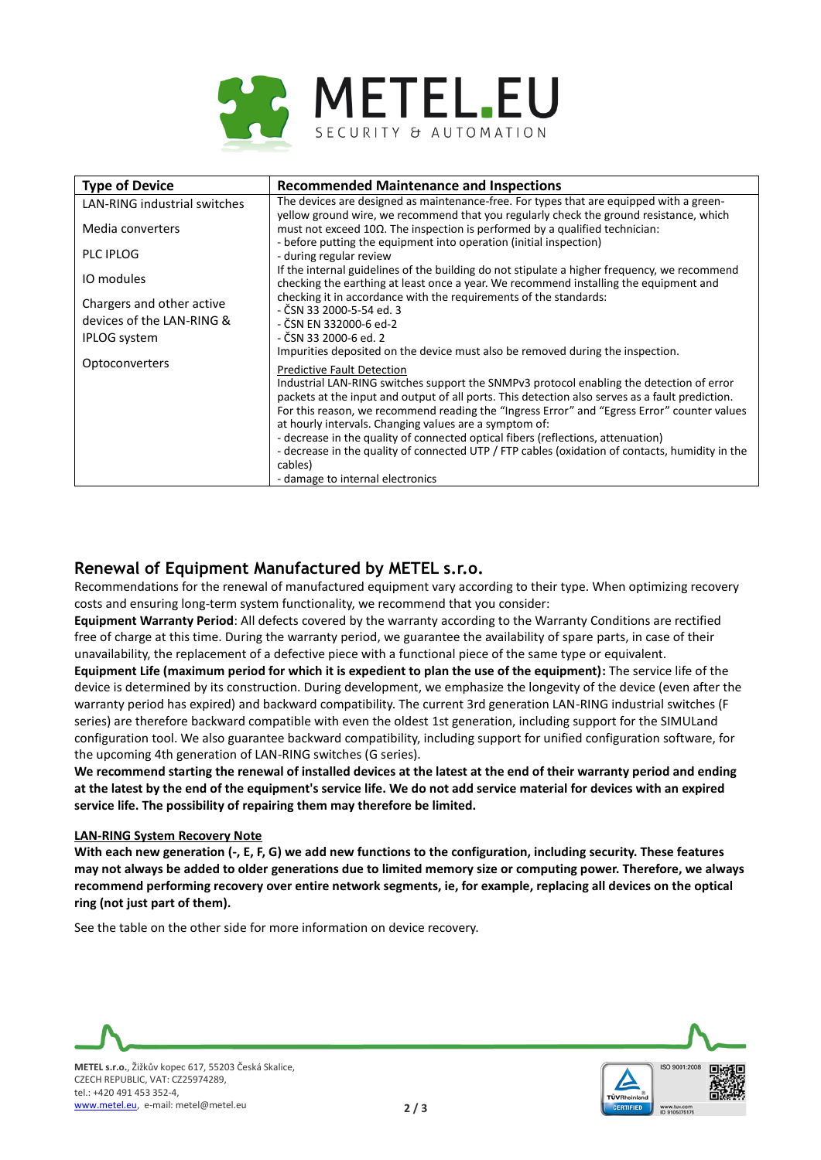

| <b>Type of Device</b>               | <b>Recommended Maintenance and Inspections</b>                                                                                                                                        |
|-------------------------------------|---------------------------------------------------------------------------------------------------------------------------------------------------------------------------------------|
| <b>LAN-RING industrial switches</b> | The devices are designed as maintenance-free. For types that are equipped with a green-<br>yellow ground wire, we recommend that you regularly check the ground resistance, which     |
| Media converters                    | must not exceed $10\Omega$ . The inspection is performed by a qualified technician:<br>- before putting the equipment into operation (initial inspection)                             |
| <b>PLC IPLOG</b>                    | - during regular review                                                                                                                                                               |
| IO modules                          | If the internal guidelines of the building do not stipulate a higher frequency, we recommend<br>checking the earthing at least once a year. We recommend installing the equipment and |
| Chargers and other active           | checking it in accordance with the requirements of the standards:<br>- ČSN 33 2000-5-54 ed. 3                                                                                         |
| devices of the LAN-RING &           | - ČSN EN 332000-6 ed-2                                                                                                                                                                |
| <b>IPLOG</b> system                 | - ČSN 33 2000-6 ed. 2                                                                                                                                                                 |
| Optoconverters                      | Impurities deposited on the device must also be removed during the inspection.                                                                                                        |
|                                     | <b>Predictive Fault Detection</b>                                                                                                                                                     |
|                                     | Industrial LAN-RING switches support the SNMPv3 protocol enabling the detection of error                                                                                              |
|                                     | packets at the input and output of all ports. This detection also serves as a fault prediction.                                                                                       |
|                                     | For this reason, we recommend reading the "Ingress Error" and "Egress Error" counter values<br>at hourly intervals. Changing values are a symptom of:                                 |
|                                     | - decrease in the quality of connected optical fibers (reflections, attenuation)                                                                                                      |
|                                     | - decrease in the quality of connected UTP / FTP cables (oxidation of contacts, humidity in the                                                                                       |
|                                     | cables)                                                                                                                                                                               |
|                                     | - damage to internal electronics                                                                                                                                                      |

## **Renewal of Equipment Manufactured by METEL s.r.o.**

Recommendations for the renewal of manufactured equipment vary according to their type. When optimizing recovery costs and ensuring long-term system functionality, we recommend that you consider:

**Equipment Warranty Period**: All defects covered by the warranty according to the Warranty Conditions are rectified free of charge at this time. During the warranty period, we guarantee the availability of spare parts, in case of their unavailability, the replacement of a defective piece with a functional piece of the same type or equivalent.

**Equipment Life (maximum period for which it is expedient to plan the use of the equipment):** The service life of the device is determined by its construction. During development, we emphasize the longevity of the device (even after the warranty period has expired) and backward compatibility. The current 3rd generation LAN-RING industrial switches (F series) are therefore backward compatible with even the oldest 1st generation, including support for the SIMULand configuration tool. We also guarantee backward compatibility, including support for unified configuration software, for the upcoming 4th generation of LAN-RING switches (G series).

We recommend starting the renewal of installed devices at the latest at the end of their warranty period and ending **at the latest by the end of the equipment's service life. We do not add service material for devices with an expired service life. The possibility of repairing them may therefore be limited.**

#### **LAN-RING System Recovery Note**

With each new generation (-, E, F, G) we add new functions to the configuration, including security. These features **may not always be added to older generations due to limited memory size or computing power. Therefore, we always recommend performing recovery over entire network segments, ie, for example, replacing all devices on the optical ring (not just part of them).**

See the table on the other side for more information on device recovery.



[www.metel.eu,](http://www.metel.eu/) e-mail: metel@metel.eu